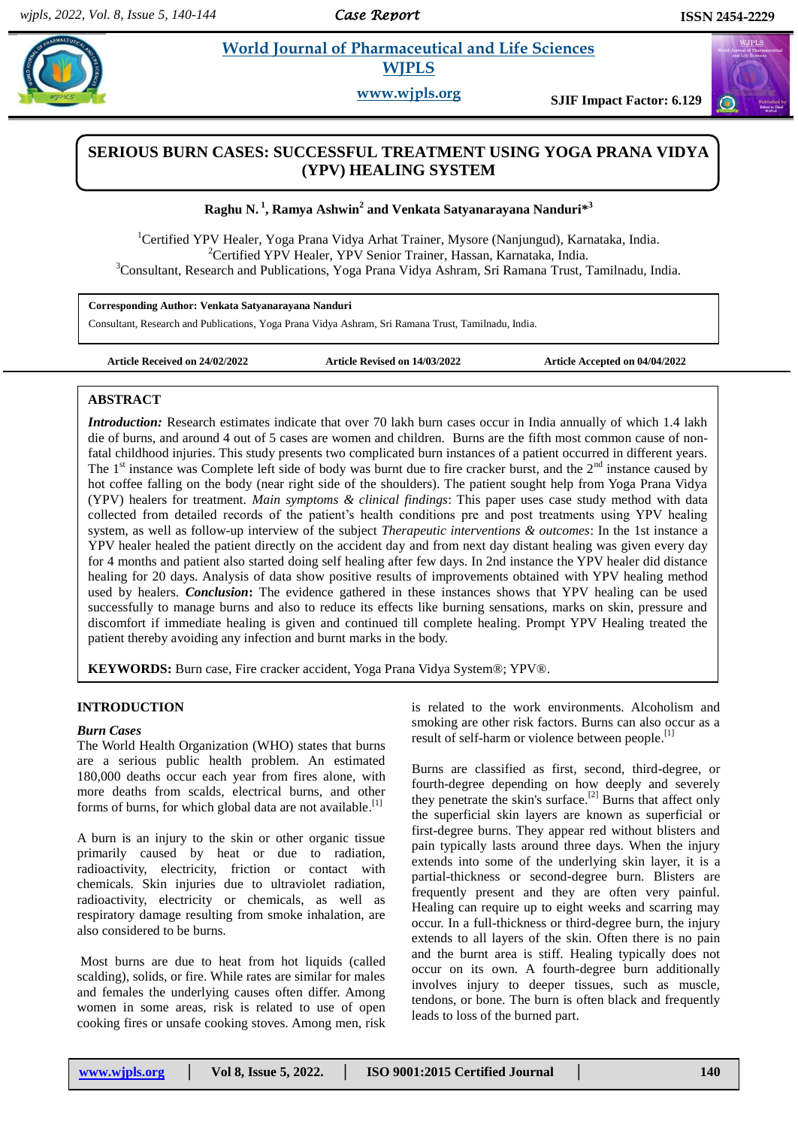#### *Case Report*

# **Raghering World Journal of Pharmaceutical and Life Sciences WJPLS**

**www.wjpls.org SJIF Impact Factor: 6.129**

# **SERIOUS BURN CASES: SUCCESSFUL TREATMENT USING YOGA PRANA VIDYA (YPV) HEALING SYSTEM**

**Raghu N. 1 , Ramya Ashwin<sup>2</sup> and Venkata Satyanarayana Nanduri\* 3**

<sup>1</sup>Certified YPV Healer, Yoga Prana Vidya Arhat Trainer, Mysore (Nanjungud), Karnataka, India. <sup>2</sup>Certified YPV Healer, YPV Senior Trainer, Hassan, Karnataka, India.

<sup>3</sup>Consultant, Research and Publications, Yoga Prana Vidya Ashram, Sri Ramana Trust, Tamilnadu, India.

**Corresponding Author: Venkata Satyanarayana Nanduri**

Consultant, Research and Publications, Yoga Prana Vidya Ashram, Sri Ramana Trust, Tamilnadu, India.

**Article Received on 24/02/2022 Article Revised on 14/03/2022 Article Accepted on 04/04/2022**

# **ABSTRACT**

*Introduction:* Research estimates indicate that over 70 lakh burn cases occur in India annually of which 1.4 lakh die of burns, and around 4 out of 5 cases are women and children. Burns are the fifth most common cause of nonfatal childhood injuries. This study presents two complicated burn instances of a patient occurred in different years. The  $1<sup>st</sup>$  instance was Complete left side of body was burnt due to fire cracker burst, and the  $2<sup>nd</sup>$  instance caused by hot coffee falling on the body (near right side of the shoulders). The patient sought help from Yoga Prana Vidya (YPV) healers for treatment. *Main symptoms & clinical findings*: This paper uses case study method with data collected from detailed records of the patient's health conditions pre and post treatments using YPV healing system, as well as follow-up interview of the subject *Therapeutic interventions & outcomes*: In the 1st instance a YPV healer healed the patient directly on the accident day and from next day distant healing was given every day for 4 months and patient also started doing self healing after few days. In 2nd instance the YPV healer did distance healing for 20 days. Analysis of data show positive results of improvements obtained with YPV healing method used by healers. *Conclusion***:** The evidence gathered in these instances shows that YPV healing can be used successfully to manage burns and also to reduce its effects like burning sensations, marks on skin, pressure and discomfort if immediate healing is given and continued till complete healing. Prompt YPV Healing treated the patient thereby avoiding any infection and burnt marks in the body.

**KEYWORDS:** Burn case, Fire cracker accident, Yoga Prana Vidya System®; YPV®.

# **INTRODUCTION**

#### *Burn Cases*

The World Health Organization (WHO) states that burns are a serious public health problem. An estimated 180,000 deaths occur each year from fires alone, with more deaths from scalds, electrical burns, and other forms of burns, for which global data are not available.<sup>[1]</sup>

A burn is an injury to the skin or other organic tissue primarily caused by heat or due to radiation, radioactivity, electricity, friction or contact with chemicals. Skin injuries due to ultraviolet radiation, radioactivity, electricity or chemicals, as well as respiratory damage resulting from smoke inhalation, are also considered to be burns.

Most burns are due to heat from hot liquids (called scalding), solids, or fire. While rates are similar for males and females the underlying causes often differ. Among women in some areas, risk is related to use of open cooking fires or unsafe cooking stoves. Among men, risk

is related to the work environments. Alcoholism and smoking are other risk factors. Burns can also occur as a result of self-harm or violence between people.<sup>[1]</sup>

Burns are classified as first, second, third-degree, or fourth-degree depending on how deeply and severely they penetrate the skin's surface.<sup>[2]</sup> Burns that affect only the superficial skin layers are known as superficial or first-degree burns. They appear red without blisters and pain typically lasts around three days. When the injury extends into some of the underlying skin layer, it is a partial-thickness or second-degree burn. Blisters are frequently present and they are often very painful. Healing can require up to eight weeks and scarring may occur. In a full-thickness or third-degree burn, the injury extends to all layers of the skin. Often there is no pain and the burnt area is stiff. Healing typically does not occur on its own. A fourth-degree burn additionally involves injury to deeper tissues, such as muscle, tendons, or bone. The burn is often black and frequently leads to loss of the burned part.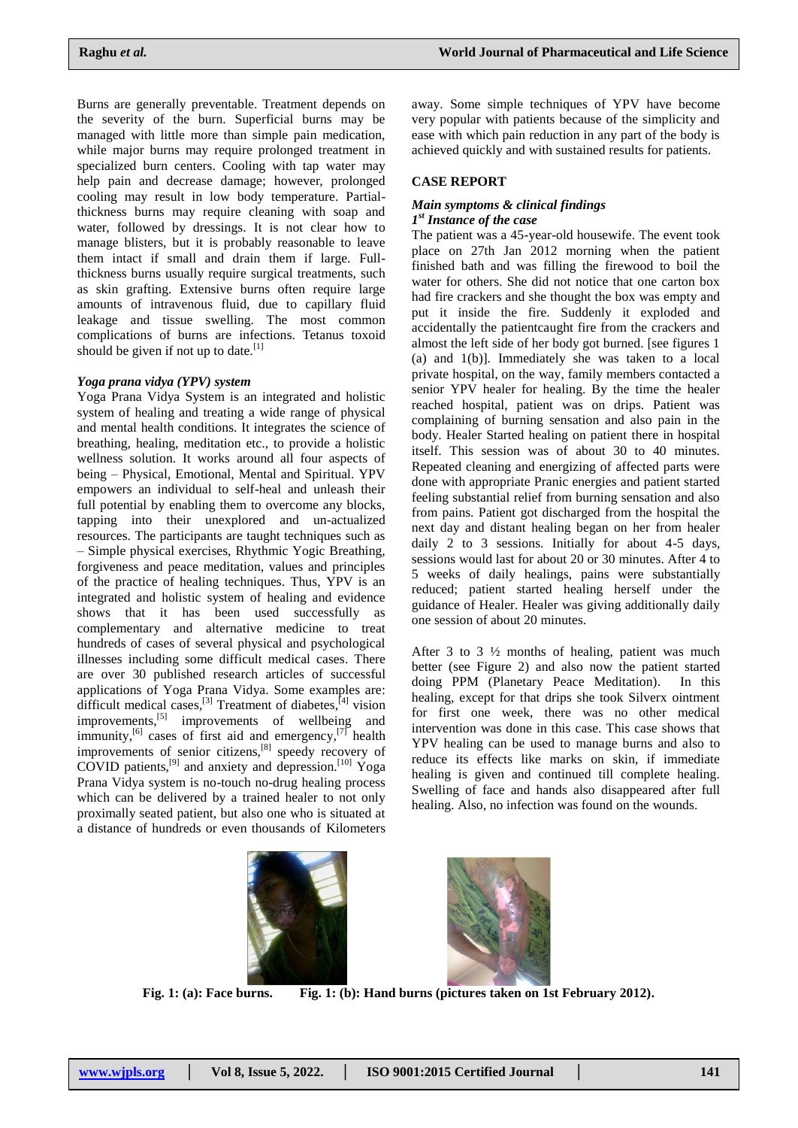Burns are generally preventable. Treatment depends on the severity of the burn. Superficial burns may be managed with little more than simple pain medication, while major burns may require prolonged treatment in specialized burn centers. Cooling with tap water may help pain and decrease damage; however, prolonged cooling may result in low body temperature. Partialthickness burns may require cleaning with soap and water, followed by dressings. It is not clear how to manage blisters, but it is probably reasonable to leave them intact if small and drain them if large. Fullthickness burns usually require surgical treatments, such as skin grafting. Extensive burns often require large amounts of intravenous fluid, due to capillary fluid leakage and tissue swelling. The most common complications of burns are infections. Tetanus toxoid should be given if not up to date.<sup>[1]</sup>

# *Yoga prana vidya (YPV) system*

Yoga Prana Vidya System is an integrated and holistic system of healing and treating a wide range of physical and mental health conditions. It integrates the science of breathing, healing, meditation etc., to provide a holistic wellness solution. It works around all four aspects of being – Physical, Emotional, Mental and Spiritual. YPV empowers an individual to self-heal and unleash their full potential by enabling them to overcome any blocks, tapping into their unexplored and un-actualized resources. The participants are taught techniques such as – Simple physical exercises, Rhythmic Yogic Breathing, forgiveness and peace meditation, values and principles of the practice of healing techniques. Thus, YPV is an integrated and holistic system of healing and evidence shows that it has been used successfully as complementary and alternative medicine to treat hundreds of cases of several physical and psychological illnesses including some difficult medical cases. There are over 30 published research articles of successful applications of Yoga Prana Vidya. Some examples are: difficult medical cases,  $^{[3]}$  Treatment of diabetes,  $^{[4]}$  vision improvements,<sup>[5]</sup> improvements of wellbeing and immunity,  $\left[6\right]$  cases of first aid and emergency,  $\left[7\right]$  health improvements of senior citizens,<sup>[8]</sup> speedy recovery of COVID patients,<sup>[9]</sup> and anxiety and depression.<sup>[10]</sup> Yoga Prana Vidya system is no-touch no-drug healing process which can be delivered by a trained healer to not only proximally seated patient, but also one who is situated at a distance of hundreds or even thousands of Kilometers

away. Some simple techniques of YPV have become very popular with patients because of the simplicity and ease with which pain reduction in any part of the body is achieved quickly and with sustained results for patients.

# **CASE REPORT**

# *Main symptoms & clinical findings 1 st Instance of the case*

The patient was a 45-year-old housewife. The event took place on 27th Jan 2012 morning when the patient finished bath and was filling the firewood to boil the water for others. She did not notice that one carton box had fire crackers and she thought the box was empty and put it inside the fire. Suddenly it exploded and accidentally the patientcaught fire from the crackers and almost the left side of her body got burned. [see figures 1 (a) and 1(b)]. Immediately she was taken to a local private hospital, on the way, family members contacted a senior YPV healer for healing. By the time the healer reached hospital, patient was on drips. Patient was complaining of burning sensation and also pain in the body. Healer Started healing on patient there in hospital itself. This session was of about 30 to 40 minutes. Repeated cleaning and energizing of affected parts were done with appropriate Pranic energies and patient started feeling substantial relief from burning sensation and also from pains. Patient got discharged from the hospital the next day and distant healing began on her from healer daily 2 to 3 sessions. Initially for about 4-5 days, sessions would last for about 20 or 30 minutes. After 4 to 5 weeks of daily healings, pains were substantially reduced; patient started healing herself under the guidance of Healer. Healer was giving additionally daily one session of about 20 minutes.

After 3 to 3 ½ months of healing, patient was much better (see Figure 2) and also now the patient started doing PPM (Planetary Peace Meditation). In this healing, except for that drips she took Silverx ointment for first one week, there was no other medical intervention was done in this case. This case shows that YPV healing can be used to manage burns and also to reduce its effects like marks on skin, if immediate healing is given and continued till complete healing. Swelling of face and hands also disappeared after full healing. Also, no infection was found on the wounds.





**Fig. 1: (a): Face burns. Fig. 1: (b): Hand burns (pictures taken on 1st February 2012).**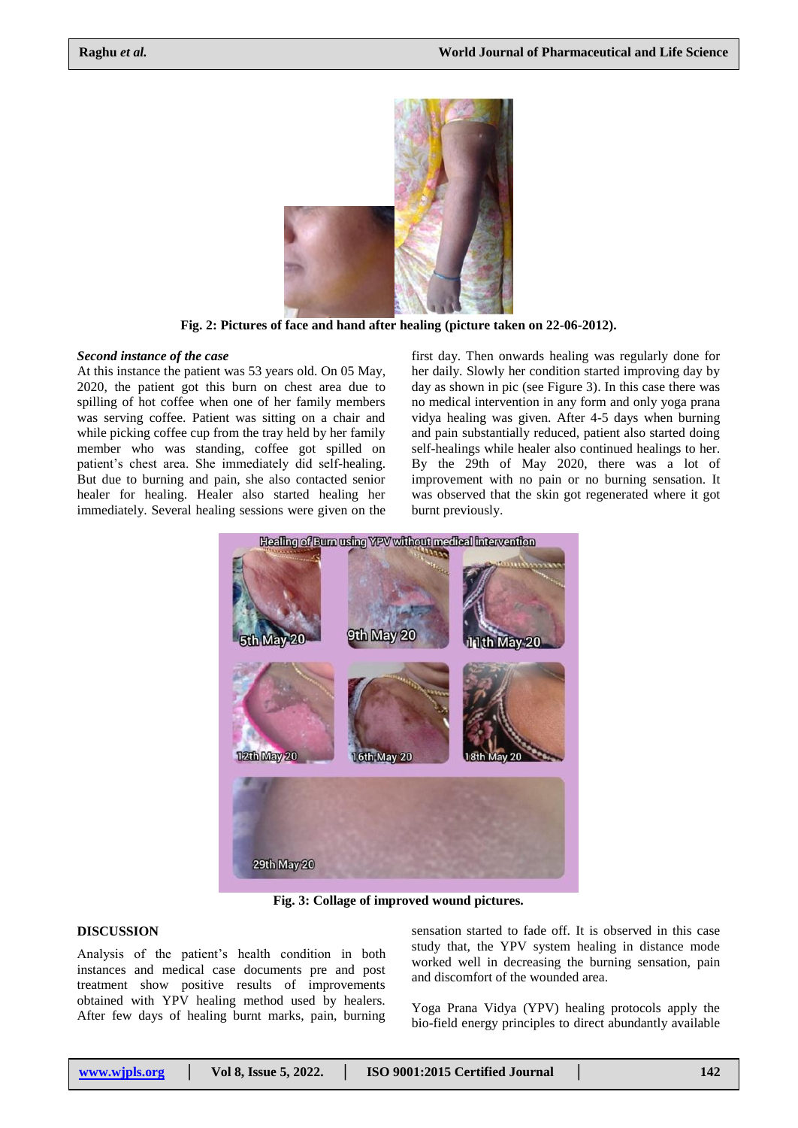

**Fig. 2: Pictures of face and hand after healing (picture taken on 22-06-2012).**

#### *Second instance of the case*

At this instance the patient was 53 years old. On 05 May, 2020, the patient got this burn on chest area due to spilling of hot coffee when one of her family members was serving coffee. Patient was sitting on a chair and while picking coffee cup from the tray held by her family member who was standing, coffee got spilled on patient's chest area. She immediately did self-healing. But due to burning and pain, she also contacted senior healer for healing. Healer also started healing her immediately. Several healing sessions were given on the

first day. Then onwards healing was regularly done for her daily. Slowly her condition started improving day by day as shown in pic (see Figure 3). In this case there was no medical intervention in any form and only yoga prana vidya healing was given. After 4-5 days when burning and pain substantially reduced, patient also started doing self-healings while healer also continued healings to her. By the 29th of May 2020, there was a lot of improvement with no pain or no burning sensation. It was observed that the skin got regenerated where it got burnt previously.



**Fig. 3: Collage of improved wound pictures.**

# **DISCUSSION**

Analysis of the patient's health condition in both instances and medical case documents pre and post treatment show positive results of improvements obtained with YPV healing method used by healers. After few days of healing burnt marks, pain, burning

sensation started to fade off. It is observed in this case study that, the YPV system healing in distance mode worked well in decreasing the burning sensation, pain and discomfort of the wounded area.

Yoga Prana Vidya (YPV) healing protocols apply the bio-field energy principles to direct abundantly available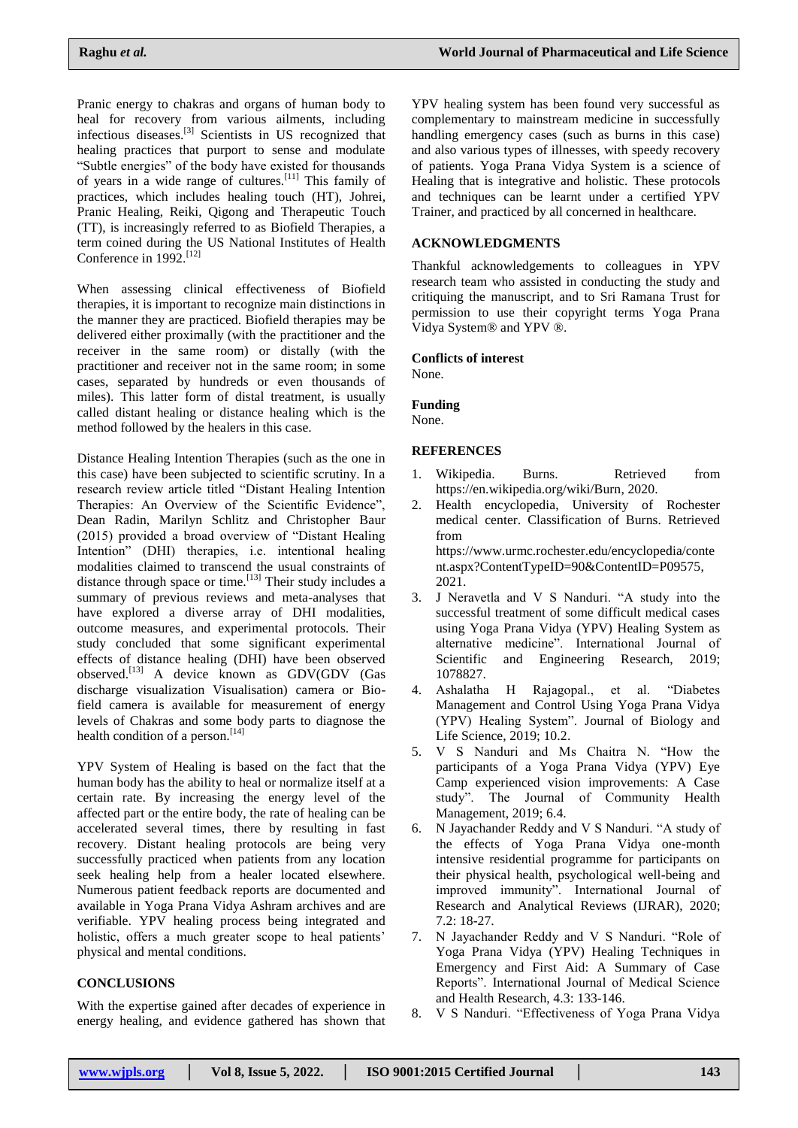Pranic energy to chakras and organs of human body to heal for recovery from various ailments, including infectious diseases. [3] Scientists in US recognized that healing practices that purport to sense and modulate "Subtle energies" of the body have existed for thousands of years in a wide range of cultures.<sup>[11]</sup> This family of practices, which includes healing touch (HT), Johrei, Pranic Healing, Reiki, Qigong and Therapeutic Touch (TT), is increasingly referred to as Biofield Therapies, a term coined during the US National Institutes of Health Conference in 1992.<sup>[12]</sup>

When assessing clinical effectiveness of Biofield therapies, it is important to recognize main distinctions in the manner they are practiced. Biofield therapies may be delivered either proximally (with the practitioner and the receiver in the same room) or distally (with the practitioner and receiver not in the same room; in some cases, separated by hundreds or even thousands of miles). This latter form of distal treatment, is usually called distant healing or distance healing which is the method followed by the healers in this case.

Distance Healing Intention Therapies (such as the one in this case) have been subjected to scientific scrutiny. In a research review article titled "Distant Healing Intention Therapies: An Overview of the Scientific Evidence", Dean Radin, Marilyn Schlitz and Christopher Baur (2015) provided a broad overview of "Distant Healing Intention" (DHI) therapies, i.e. intentional healing modalities claimed to transcend the usual constraints of distance through space or time.<sup>[13]</sup> Their study includes a summary of previous reviews and meta-analyses that have explored a diverse array of DHI modalities, outcome measures, and experimental protocols. Their study concluded that some significant experimental effects of distance healing (DHI) have been observed observed.[13] A device known as GDV(GDV (Gas discharge visualization Visualisation) camera or Biofield camera is available for measurement of energy levels of Chakras and some body parts to diagnose the health condition of a person.<sup>[14]</sup>

YPV System of Healing is based on the fact that the human body has the ability to heal or normalize itself at a certain rate. By increasing the energy level of the affected part or the entire body, the rate of healing can be accelerated several times, there by resulting in fast recovery. Distant healing protocols are being very successfully practiced when patients from any location seek healing help from a healer located elsewhere. Numerous patient feedback reports are documented and available in Yoga Prana Vidya Ashram archives and are verifiable. YPV healing process being integrated and holistic, offers a much greater scope to heal patients' physical and mental conditions.

#### **CONCLUSIONS**

With the expertise gained after decades of experience in energy healing, and evidence gathered has shown that YPV healing system has been found very successful as complementary to mainstream medicine in successfully handling emergency cases (such as burns in this case) and also various types of illnesses, with speedy recovery of patients. Yoga Prana Vidya System is a science of Healing that is integrative and holistic. These protocols and techniques can be learnt under a certified YPV Trainer, and practiced by all concerned in healthcare.

# **ACKNOWLEDGMENTS**

Thankful acknowledgements to colleagues in YPV research team who assisted in conducting the study and critiquing the manuscript, and to Sri Ramana Trust for permission to use their copyright terms Yoga Prana Vidya System® and YPV ®.

#### **Conflicts of interest**

None.

**Funding**

None.

#### **REFERENCES**

- 1. Wikipedia. Burns. Retrieved from [https://en.wikipedia.org/wiki/Burn,](https://en.wikipedia.org/wiki/Burn) 2020.
- 2. Health encyclopedia, University of Rochester medical center. Classification of Burns. Retrieved from [https://www.urmc.rochester.edu/encyclopedia/conte](https://www.urmc.rochester.edu/encyclopedia/content.aspx?ContentTypeID=90&ContentID=P09575) [nt.aspx?ContentTypeID=90&ContentID=P09575,](https://www.urmc.rochester.edu/encyclopedia/content.aspx?ContentTypeID=90&ContentID=P09575) 2021.
- 3. J Neravetla and V S Nanduri. "A study into the successful treatment of some difficult medical cases using Yoga Prana Vidya (YPV) Healing System as alternative medicine". International Journal of Scientific and Engineering Research, 2019; 1078827.
- 4. Ashalatha H Rajagopal., et al. "Diabetes Management and Control Using Yoga Prana Vidya (YPV) Healing System". Journal of Biology and Life Science, 2019; 10.2.
- 5. V S Nanduri and Ms Chaitra N. "How the participants of a Yoga Prana Vidya (YPV) Eye Camp experienced vision improvements: A Case study". The Journal of Community Health Management, 2019; 6.4.
- 6. N Jayachander Reddy and V S Nanduri. "A study of the effects of Yoga Prana Vidya one-month intensive residential programme for participants on their physical health, psychological well-being and improved immunity". International Journal of Research and Analytical Reviews (IJRAR), 2020;  $7.2:18-27.$
- 7. N Jayachander Reddy and V S Nanduri. "Role of Yoga Prana Vidya (YPV) Healing Techniques in Emergency and First Aid: A Summary of Case Reports". International Journal of Medical Science and Health Research, 4.3: 133-146.
- 8. V S Nanduri. "Effectiveness of Yoga Prana Vidya